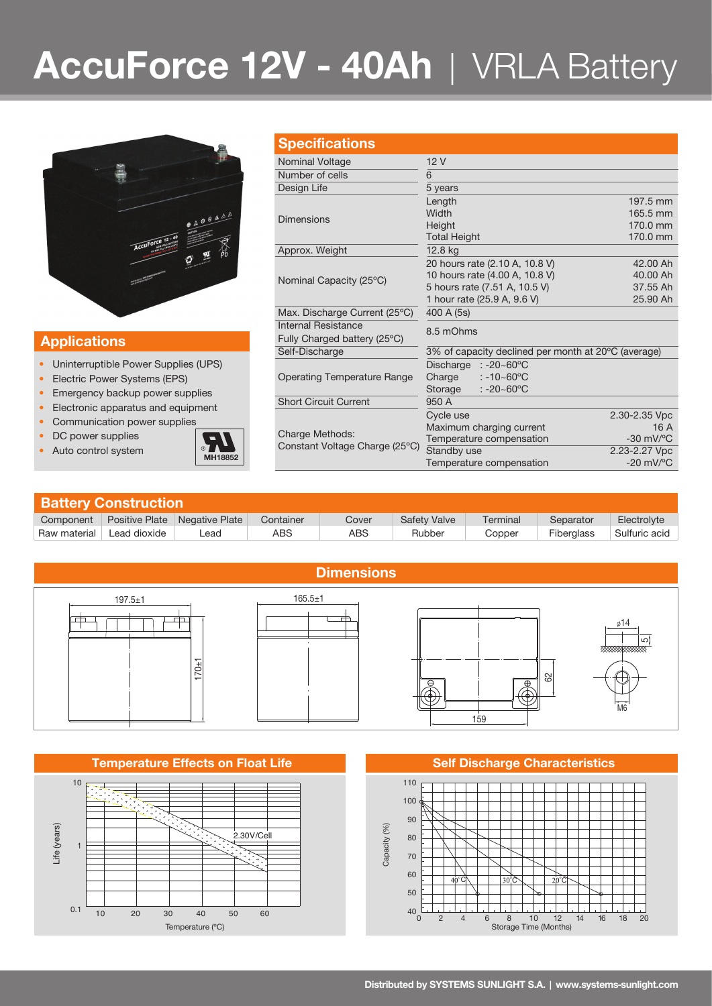# **AccuForce 12V - 40Ah** | VRLA Battery



### **Applications**

- Uninterruptible Power Supplies (UPS)
- Electric Power Systems (EPS)
- Emergency backup power supplies
- Electronic apparatus and equipment
- Communication power supplies
- DC power supplies
- Auto control system **MH18852**



| <b>Specifications</b>          |                                                     |                                |  |  |  |  |
|--------------------------------|-----------------------------------------------------|--------------------------------|--|--|--|--|
| Nominal Voltage                | 12V                                                 |                                |  |  |  |  |
| Number of cells                | 6                                                   |                                |  |  |  |  |
| Design Life                    | 5 years                                             |                                |  |  |  |  |
|                                | Length                                              | 197.5 mm                       |  |  |  |  |
| <b>Dimensions</b>              | Width                                               | 165.5 mm                       |  |  |  |  |
|                                | Height                                              | 170.0 mm                       |  |  |  |  |
|                                | <b>Total Height</b>                                 | 170.0 mm                       |  |  |  |  |
| Approx. Weight                 | 12.8 kg                                             |                                |  |  |  |  |
|                                | 20 hours rate (2.10 A, 10.8 V)                      | 42.00 Ah                       |  |  |  |  |
| Nominal Capacity (25°C)        | 10 hours rate (4.00 A, 10.8 V)                      | 40.00 Ah                       |  |  |  |  |
|                                | 5 hours rate (7.51 A, 10.5 V)                       | 37.55 Ah                       |  |  |  |  |
|                                | 1 hour rate (25.9 A, 9.6 V)                         | 25.90 Ah                       |  |  |  |  |
| Max. Discharge Current (25°C)  | 400 A (5s)                                          |                                |  |  |  |  |
| Internal Resistance            | 8.5 mOhms                                           |                                |  |  |  |  |
| Fully Charged battery (25°C)   |                                                     |                                |  |  |  |  |
| Self-Discharge                 | 3% of capacity declined per month at 20°C (average) |                                |  |  |  |  |
|                                | Discharge<br>$: -20 - 60^{\circ}$ C                 |                                |  |  |  |  |
| Operating Temperature Range    | $: -10 - 60^{\circ}$ C<br>Charge                    |                                |  |  |  |  |
|                                | : $-20 - 60^{\circ}$ C<br>Storage                   |                                |  |  |  |  |
| <b>Short Circuit Current</b>   | 950 A                                               |                                |  |  |  |  |
|                                | Cycle use                                           | 2.30-2.35 Vpc                  |  |  |  |  |
|                                | Maximum charging current                            | 16 A                           |  |  |  |  |
| <b>Charge Methods:</b>         | Temperature compensation                            | $-30$ mV/ $\mathrm{^{\circ}C}$ |  |  |  |  |
| Constant Voltage Charge (25°C) | Standby use                                         | 2.23-2.27 Vpc                  |  |  |  |  |

| <b>Battery Construction</b> |              |                                 |           |       |                     |          |            |               |  |  |  |
|-----------------------------|--------------|---------------------------------|-----------|-------|---------------------|----------|------------|---------------|--|--|--|
| Component                   |              | Positive Plate   Negative Plate | Container | Cover | <b>Safety Valve</b> | Terminal | Separator  | Electrolyte   |  |  |  |
| Raw material                | Lead dioxide | _ead                            | ABS       | ABS   | Rubber              | Copper   | Fiberglass | Sulfuric acid |  |  |  |



### **Temperature Effects on Float Life <b>Self Discharge Characteristics Self Discharge Characteristics**



Temperature compensation -20 mV/°C